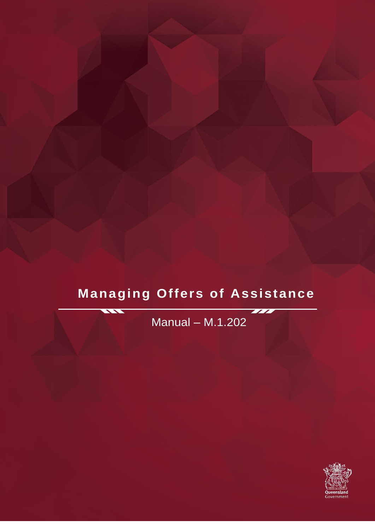# **Managing Offers of Assistance**

Manual – M.1.202

 $\overline{\phantom{a}}$ 

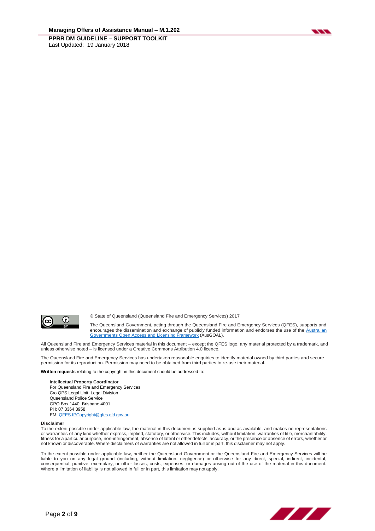



© State of Queensland (Queensland Fire and Emergency Services) 2017

The Queensland Government, acting through the Queensland Fire and Emergency Services (QFES), supports and encourages the dissemination and exchange of publicly funded information and endorses the use of the [Australian](http://www.ausgoal.gov.au/)  [Governments Open Access and Licensing Framework](http://www.ausgoal.gov.au/) (AusGOAL).

All Queensland Fire and Emergency Services material in this document – except the QFES logo, any material protected by a trademark, and unless otherwise noted – is licensed under a Creative Commons Attribution 4.0 licence.

The Queensland Fire and Emergency Services has undertaken reasonable enquiries to identify material owned by third parties and secure permission for its reproduction. Permission may need to be obtained from third parties to re-use their material.

**Written requests** relating to the copyright in this document should be addressed to:

**Intellectual Property Coordinator** For Queensland Fire and Emergency Services C/o QPS Legal Unit, Legal Division Queensland Police Service GPO Box 1440, Brisbane 4001 PH: 07 3364 3958 EM[: QFES.IPCopyright@qfes.qld.gov.au](mailto:QFES.IPCopyright@qfes.qld.gov.au)

#### **Disclaimer**

To the extent possible under applicable law, the material in this document is supplied as-is and as-available, and makes no representations or warranties of any kind whether express, implied, statutory, or otherwise. This includes, without limitation, warranties of title, merchantability, fitness for a particular purpose, non-infringement, absence of latent or other defects, accuracy, or the presence or absence of errors, whether or not known or discoverable. Where disclaimers of warranties are not allowed in full or in part, this disclaimer may not apply.

To the extent possible under applicable law, neither the Queensland Government or the Queensland Fire and Emergency Services will be liable to you on any legal ground (including, without limitation, negligence) or otherwise for any direct, special, indirect, incidental,<br>consequential, punitive, exemplary, or other losses, costs, expenses, or damages ari Where a limitation of liability is not allowed in full or in part, this limitation may not apply.

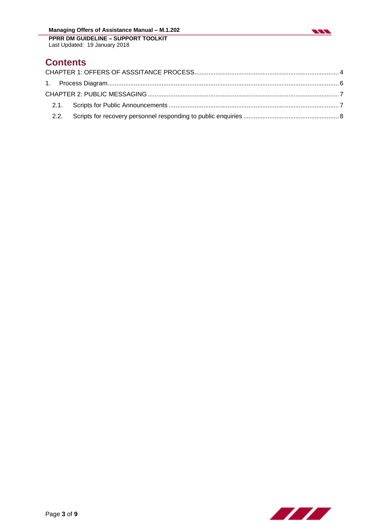

**Contents**

Last Updated: 19 January 2018

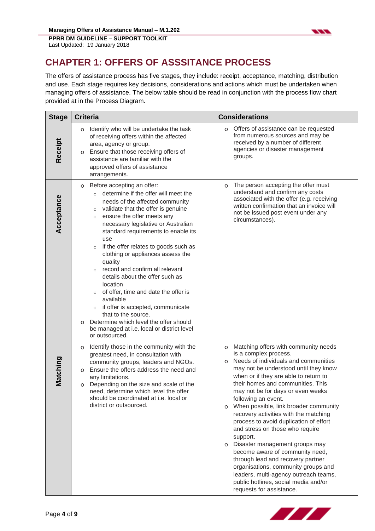

## <span id="page-3-0"></span>**CHAPTER 1: OFFERS OF ASSSITANCE PROCESS**

The offers of assistance process has five stages, they include: receipt, acceptance, matching, distribution and use. Each stage requires key decisions, considerations and actions which must be undertaken when managing offers of assistance. The below table should be read in conjunction with the process flow chart provided at in the Process Diagram.

| <b>Stage</b> | <b>Criteria</b>                                                                                                                                                                                                                                                                                                                                                                                                                                                                                                                                                                                                                                                                                                                                                   | <b>Considerations</b>                                                                                                                                                                                                                                                                                                                                                                                                                                                                                                                                                                                                                                                                                                                                       |
|--------------|-------------------------------------------------------------------------------------------------------------------------------------------------------------------------------------------------------------------------------------------------------------------------------------------------------------------------------------------------------------------------------------------------------------------------------------------------------------------------------------------------------------------------------------------------------------------------------------------------------------------------------------------------------------------------------------------------------------------------------------------------------------------|-------------------------------------------------------------------------------------------------------------------------------------------------------------------------------------------------------------------------------------------------------------------------------------------------------------------------------------------------------------------------------------------------------------------------------------------------------------------------------------------------------------------------------------------------------------------------------------------------------------------------------------------------------------------------------------------------------------------------------------------------------------|
| Receipt      | Identify who will be undertake the task<br>$\circ$<br>of receiving offers within the affected<br>area, agency or group.<br>Ensure that those receiving offers of<br>$\circ$<br>assistance are familiar with the<br>approved offers of assistance<br>arrangements.                                                                                                                                                                                                                                                                                                                                                                                                                                                                                                 | Offers of assistance can be requested<br>O<br>from numerous sources and may be<br>received by a number of different<br>agencies or disaster management<br>groups.                                                                                                                                                                                                                                                                                                                                                                                                                                                                                                                                                                                           |
| Acceptance   | Before accepting an offer:<br>O<br>determine if the offer will meet the<br>$\circ$<br>needs of the affected community<br>validate that the offer is genuine<br>$\circ$<br>ensure the offer meets any<br>$\circ$<br>necessary legislative or Australian<br>standard requirements to enable its<br>use<br>if the offer relates to goods such as<br>$\circ$<br>clothing or appliances assess the<br>quality<br>record and confirm all relevant<br>$\circ$<br>details about the offer such as<br>location<br>of offer, time and date the offer is<br>$\circ$<br>available<br>if offer is accepted, communicate<br>$\circ$<br>that to the source.<br>Determine which level the offer should<br>$\circ$<br>be managed at i.e. local or district level<br>or outsourced. | The person accepting the offer must<br>O<br>understand and confirm any costs<br>associated with the offer (e.g. receiving<br>written confirmation that an invoice will<br>not be issued post event under any<br>circumstances).                                                                                                                                                                                                                                                                                                                                                                                                                                                                                                                             |
| Matching     | Identify those in the community with the<br>O<br>greatest need, in consultation with<br>community groups, leaders and NGOs.<br>Ensure the offers address the need and<br>O<br>any limitations.<br>Depending on the size and scale of the<br>O<br>need, determine which level the offer<br>should be coordinated at i.e. local or<br>district or outsourced.                                                                                                                                                                                                                                                                                                                                                                                                       | Matching offers with community needs<br>O<br>is a complex process.<br>Needs of individuals and communities<br>$\circ$<br>may not be understood until they know<br>when or if they are able to return to<br>their homes and communities. This<br>may not be for days or even weeks<br>following an event.<br>When possible, link broader community<br>O<br>recovery activities with the matching<br>process to avoid duplication of effort<br>and stress on those who require<br>support.<br>Disaster management groups may<br>O<br>become aware of community need,<br>through lead and recovery partner<br>organisations, community groups and<br>leaders, multi-agency outreach teams,<br>public hotlines, social media and/or<br>requests for assistance. |

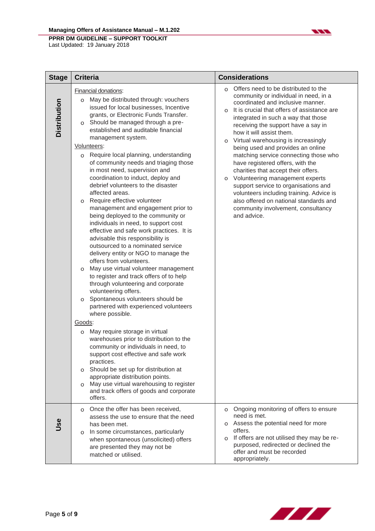#### **Managing Offers of Assistance Manual – M.1.202**



| <b>Stage</b>        | <b>Criteria</b>                                                                                                                                                                                                                                                                                                                                                                                                                                                                                                                                                                                                                                                                                                                                                                                                                                                                                                                                                                                                                                                                                                                                                                                                                                                                                                                                                                                                                                                                                                | <b>Considerations</b>                                                                                                                                                                                                                                                                                                                                                                                                                                                                                                                                                                                                                                                                                                                     |
|---------------------|----------------------------------------------------------------------------------------------------------------------------------------------------------------------------------------------------------------------------------------------------------------------------------------------------------------------------------------------------------------------------------------------------------------------------------------------------------------------------------------------------------------------------------------------------------------------------------------------------------------------------------------------------------------------------------------------------------------------------------------------------------------------------------------------------------------------------------------------------------------------------------------------------------------------------------------------------------------------------------------------------------------------------------------------------------------------------------------------------------------------------------------------------------------------------------------------------------------------------------------------------------------------------------------------------------------------------------------------------------------------------------------------------------------------------------------------------------------------------------------------------------------|-------------------------------------------------------------------------------------------------------------------------------------------------------------------------------------------------------------------------------------------------------------------------------------------------------------------------------------------------------------------------------------------------------------------------------------------------------------------------------------------------------------------------------------------------------------------------------------------------------------------------------------------------------------------------------------------------------------------------------------------|
| <b>Distribution</b> | Financial donations:<br>May be distributed through: vouchers<br>O<br>issued for local businesses, Incentive<br>grants, or Electronic Funds Transfer.<br>Should be managed through a pre-<br>$\circ$<br>established and auditable financial<br>management system.<br>Volunteers:<br>o Require local planning, understanding<br>of community needs and triaging those<br>in most need, supervision and<br>coordination to induct, deploy and<br>debrief volunteers to the disaster<br>affected areas.<br>Require effective volunteer<br>O<br>management and engagement prior to<br>being deployed to the community or<br>individuals in need, to support cost<br>effective and safe work practices. It is<br>advisable this responsibility is<br>outsourced to a nominated service<br>delivery entity or NGO to manage the<br>offers from volunteers.<br>May use virtual volunteer management<br>$\circ$<br>to register and track offers of to help<br>through volunteering and corporate<br>volunteering offers.<br>Spontaneous volunteers should be<br>$\circ$<br>partnered with experienced volunteers<br>where possible.<br>Goods:<br>May require storage in virtual<br>O<br>warehouses prior to distribution to the<br>community or individuals in need, to<br>support cost effective and safe work<br>practices.<br>o Should be set up for distribution at<br>appropriate distribution points.<br>May use virtual warehousing to register<br>$\circ$<br>and track offers of goods and corporate<br>offers. | Offers need to be distributed to the<br>$\Omega$<br>community or individual in need, in a<br>coordinated and inclusive manner.<br>It is crucial that offers of assistance are<br>$\Omega$<br>integrated in such a way that those<br>receiving the support have a say in<br>how it will assist them.<br>Virtual warehousing is increasingly<br>$\circ$<br>being used and provides an online<br>matching service connecting those who<br>have registered offers, with the<br>charities that accept their offers.<br>Volunteering management experts<br>0<br>support service to organisations and<br>volunteers including training. Advice is<br>also offered on national standards and<br>community involvement, consultancy<br>and advice. |
| Jse                 | Once the offer has been received,<br>$\circ$<br>assess the use to ensure that the need<br>has been met.<br>In some circumstances, particularly<br>$\circ$<br>when spontaneous (unsolicited) offers<br>are presented they may not be<br>matched or utilised.                                                                                                                                                                                                                                                                                                                                                                                                                                                                                                                                                                                                                                                                                                                                                                                                                                                                                                                                                                                                                                                                                                                                                                                                                                                    | Ongoing monitoring of offers to ensure<br>$\circ$<br>need is met.<br>o Assess the potential need for more<br>offers.<br>If offers are not utilised they may be re-<br>$\circ$<br>purposed, redirected or declined the<br>offer and must be recorded<br>appropriately.                                                                                                                                                                                                                                                                                                                                                                                                                                                                     |



 $\overline{\phantom{a}}$ 

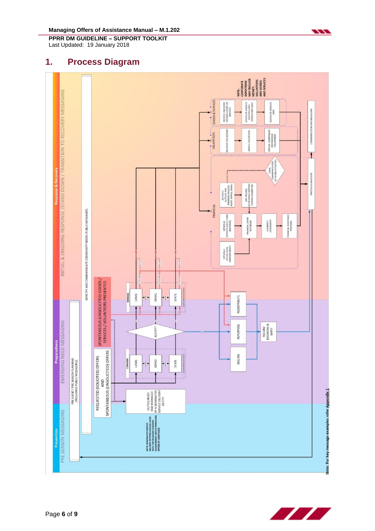**Managing Offers of Assistance Manual – M.1.202**

**PPRR DM GUIDELINE – SUPPORT TOOLKIT** Last Updated: 19 January 2018

### <span id="page-5-0"></span>**1. Process Diagram**





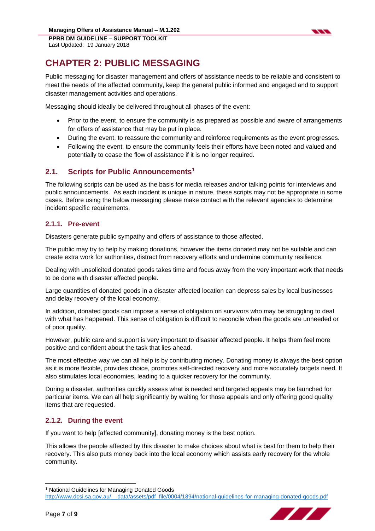<span id="page-6-0"></span>

Public messaging for disaster management and offers of assistance needs to be reliable and consistent to meet the needs of the affected community, keep the general public informed and engaged and to support disaster management activities and operations.

Messaging should ideally be delivered throughout all phases of the event:

- Prior to the event, to ensure the community is as prepared as possible and aware of arrangements for offers of assistance that may be put in place.
- During the event, to reassure the community and reinforce requirements as the event progresses.
- Following the event, to ensure the community feels their efforts have been noted and valued and potentially to cease the flow of assistance if it is no longer required.

#### <span id="page-6-1"></span>**2.1. Scripts for Public Announcements<sup>1</sup>**

The following scripts can be used as the basis for media releases and/or talking points for interviews and public announcements. As each incident is unique in nature, these scripts may not be appropriate in some cases. Before using the below messaging please make contact with the relevant agencies to determine incident specific requirements.

#### **2.1.1. Pre-event**

Disasters generate public sympathy and offers of assistance to those affected.

The public may try to help by making donations, however the items donated may not be suitable and can create extra work for authorities, distract from recovery efforts and undermine community resilience.

Dealing with unsolicited donated goods takes time and focus away from the very important work that needs to be done with disaster affected people.

Large quantities of donated goods in a disaster affected location can depress sales by local businesses and delay recovery of the local economy.

In addition, donated goods can impose a sense of obligation on survivors who may be struggling to deal with what has happened. This sense of obligation is difficult to reconcile when the goods are unneeded or of poor quality.

However, public care and support is very important to disaster affected people. It helps them feel more positive and confident about the task that lies ahead.

The most effective way we can all help is by contributing money. Donating money is always the best option as it is more flexible, provides choice, promotes self-directed recovery and more accurately targets need. It also stimulates local economies, leading to a quicker recovery for the community.

During a disaster, authorities quickly assess what is needed and targeted appeals may be launched for particular items. We can all help significantly by waiting for those appeals and only offering good quality items that are requested.

#### **2.1.2. During the event**

If you want to help [affected community], donating money is the best option.

This allows the people affected by this disaster to make choices about what is best for them to help their recovery. This also puts money back into the local economy which assists early recovery for the whole community.

[http://www.dcsi.sa.gov.au/\\_\\_data/assets/pdf\\_file/0004/1894/national-guidelines-for-managing-donated-goods.pdf](http://www.dcsi.sa.gov.au/__data/assets/pdf_file/0004/1894/national-guidelines-for-managing-donated-goods.pdf)



**.** 

<sup>&</sup>lt;sup>1</sup> National Guidelines for Managing Donated Goods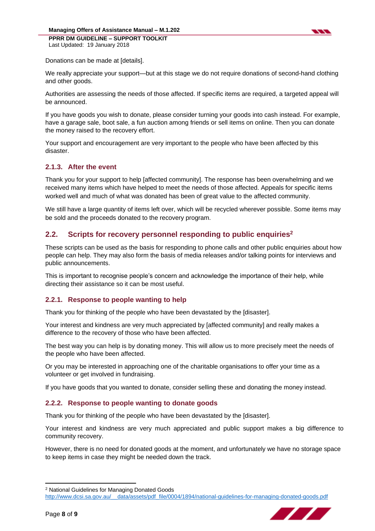

Donations can be made at [details].

We really appreciate your support—but at this stage we do not require donations of second-hand clothing and other goods.

Authorities are assessing the needs of those affected. If specific items are required, a targeted appeal will be announced.

If you have goods you wish to donate, please consider turning your goods into cash instead. For example, have a garage sale, boot sale, a fun auction among friends or sell items on online. Then you can donate the money raised to the recovery effort.

Your support and encouragement are very important to the people who have been affected by this disaster.

#### **2.1.3. After the event**

Thank you for your support to help [affected community]. The response has been overwhelming and we received many items which have helped to meet the needs of those affected. Appeals for specific items worked well and much of what was donated has been of great value to the affected community.

We still have a large quantity of items left over, which will be recycled wherever possible. Some items may be sold and the proceeds donated to the recovery program.

#### <span id="page-7-0"></span>**2.2. Scripts for recovery personnel responding to public enquiries<sup>2</sup>**

These scripts can be used as the basis for responding to phone calls and other public enquiries about how people can help. They may also form the basis of media releases and/or talking points for interviews and public announcements.

This is important to recognise people's concern and acknowledge the importance of their help, while directing their assistance so it can be most useful.

#### **2.2.1. Response to people wanting to help**

Thank you for thinking of the people who have been devastated by the [disaster].

Your interest and kindness are very much appreciated by [affected community] and really makes a difference to the recovery of those who have been affected.

The best way you can help is by donating money. This will allow us to more precisely meet the needs of the people who have been affected.

Or you may be interested in approaching one of the charitable organisations to offer your time as a volunteer or get involved in fundraising.

If you have goods that you wanted to donate, consider selling these and donating the money instead.

#### **2.2.2. Response to people wanting to donate goods**

Thank you for thinking of the people who have been devastated by the [disaster].

Your interest and kindness are very much appreciated and public support makes a big difference to community recovery.

However, there is no need for donated goods at the moment, and unfortunately we have no storage space to keep items in case they might be needed down the track.

[http://www.dcsi.sa.gov.au/\\_\\_data/assets/pdf\\_file/0004/1894/national-guidelines-for-managing-donated-goods.pdf](http://www.dcsi.sa.gov.au/__data/assets/pdf_file/0004/1894/national-guidelines-for-managing-donated-goods.pdf)



**.** 

<sup>2</sup> National Guidelines for Managing Donated Goods